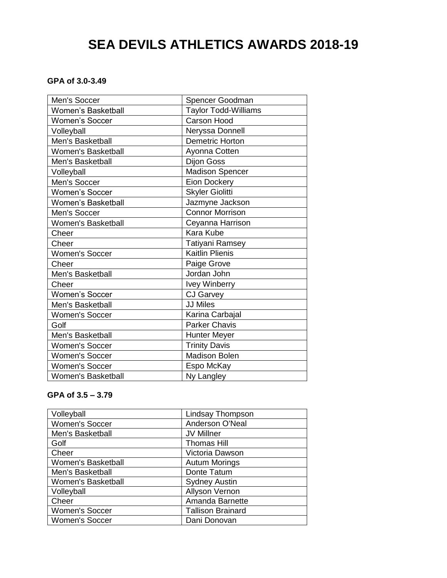# **SEA DEVILS ATHLETICS AWARDS 2018-19**

# **GPA of 3.0-3.49**

| Men's Soccer              | Spencer Goodman             |
|---------------------------|-----------------------------|
| <b>Women's Basketball</b> | <b>Taylor Todd-Williams</b> |
| <b>Women's Soccer</b>     | <b>Carson Hood</b>          |
| Volleyball                | Neryssa Donnell             |
| Men's Basketball          | <b>Demetric Horton</b>      |
| <b>Women's Basketball</b> | Ayonna Cotten               |
| Men's Basketball          | Dijon Goss                  |
| Volleyball                | <b>Madison Spencer</b>      |
| Men's Soccer              | Eion Dockery                |
| <b>Women's Soccer</b>     | <b>Skyler Giolitti</b>      |
| <b>Women's Basketball</b> | Jazmyne Jackson             |
| Men's Soccer              | <b>Connor Morrison</b>      |
| Women's Basketball        | Ceyanna Harrison            |
| Cheer                     | <b>Kara Kube</b>            |
| Cheer                     | Tatiyani Ramsey             |
| <b>Women's Soccer</b>     | <b>Kaitlin Plienis</b>      |
| Cheer                     | Paige Grove                 |
| Men's Basketball          | Jordan John                 |
| Cheer                     | <b>Ivey Winberry</b>        |
| <b>Women's Soccer</b>     | <b>CJ Garvey</b>            |
| Men's Basketball          | <b>JJ Miles</b>             |
| <b>Women's Soccer</b>     | Karina Carbajal             |
| Golf                      | <b>Parker Chavis</b>        |
| Men's Basketball          | <b>Hunter Meyer</b>         |
| <b>Women's Soccer</b>     | <b>Trinity Davis</b>        |
| <b>Women's Soccer</b>     | Madison Bolen               |
| <b>Women's Soccer</b>     | Espo McKay                  |
| <b>Women's Basketball</b> | Ny Langley                  |
|                           |                             |

# **GPA of 3.5 – 3.79**

| Volleyball            | <b>Lindsay Thompson</b>  |
|-----------------------|--------------------------|
| <b>Women's Soccer</b> | Anderson O'Neal          |
| Men's Basketball      | JV Millner               |
| Golf                  | <b>Thomas Hill</b>       |
| Cheer                 | Victoria Dawson          |
| Women's Basketball    | <b>Autum Morings</b>     |
| Men's Basketball      | Donte Tatum              |
| Women's Basketball    | <b>Sydney Austin</b>     |
| Volleyball            | Allyson Vernon           |
| Cheer                 | Amanda Barnette          |
| <b>Women's Soccer</b> | <b>Tallison Brainard</b> |
| <b>Women's Soccer</b> | Dani Donovan             |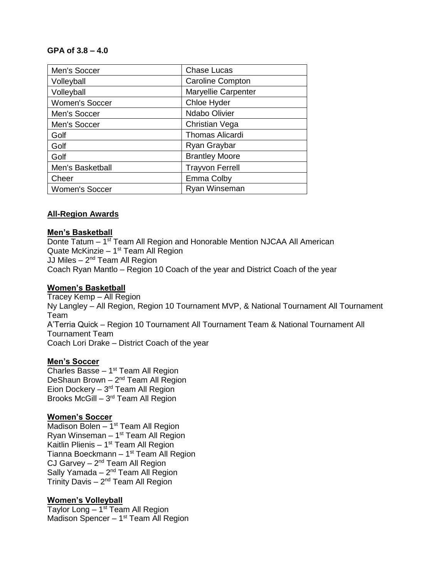# **GPA of 3.8 – 4.0**

| Men's Soccer          | <b>Chase Lucas</b>         |
|-----------------------|----------------------------|
| Volleyball            | <b>Caroline Compton</b>    |
| Volleyball            | <b>Maryellie Carpenter</b> |
| <b>Women's Soccer</b> | Chloe Hyder                |
| Men's Soccer          | <b>Ndabo Olivier</b>       |
| Men's Soccer          | Christian Vega             |
| Golf                  | Thomas Alicardi            |
| Golf                  | Ryan Graybar               |
| Golf                  | <b>Brantley Moore</b>      |
| Men's Basketball      | <b>Trayvon Ferrell</b>     |
| Cheer                 | Emma Colby                 |
| <b>Women's Soccer</b> | Ryan Winseman              |

# **All-Region Awards**

# **Men's Basketball**

Donte Tatum - 1<sup>st</sup> Team All Region and Honorable Mention NJCAA All American Quate McKinzie - 1<sup>st</sup> Team All Region JJ Miles – 2<sup>nd</sup> Team All Region Coach Ryan Mantlo – Region 10 Coach of the year and District Coach of the year

# **Women's Basketball**

Tracey Kemp – All Region Ny Langley – All Region, Region 10 Tournament MVP, & National Tournament All Tournament Team A'Terria Quick – Region 10 Tournament All Tournament Team & National Tournament All Tournament Team Coach Lori Drake – District Coach of the year

# **Men's Soccer**

Charles Basse  $-1<sup>st</sup>$  Team All Region DeShaun Brown  $-2<sup>nd</sup>$  Team All Region Eion Dockery  $-3<sup>rd</sup>$  Team All Region Brooks McGill - 3<sup>rd</sup> Team All Region

# **Women's Soccer**

Madison Bolen  $-1<sup>st</sup>$  Team All Region Ryan Winseman - 1<sup>st</sup> Team All Region Kaitlin Plienis  $-1<sup>st</sup>$  Team All Region Tianna Boeckmann – 1<sup>st</sup> Team All Region CJ Garvey  $-2<sup>nd</sup>$  Team All Region Sally Yamada  $-2<sup>nd</sup>$  Team All Region Trinity Davis – 2<sup>nd</sup> Team All Region

# **Women's Volleyball**

Taylor Long - 1<sup>st</sup> Team All Region Madison Spencer - 1<sup>st</sup> Team All Region